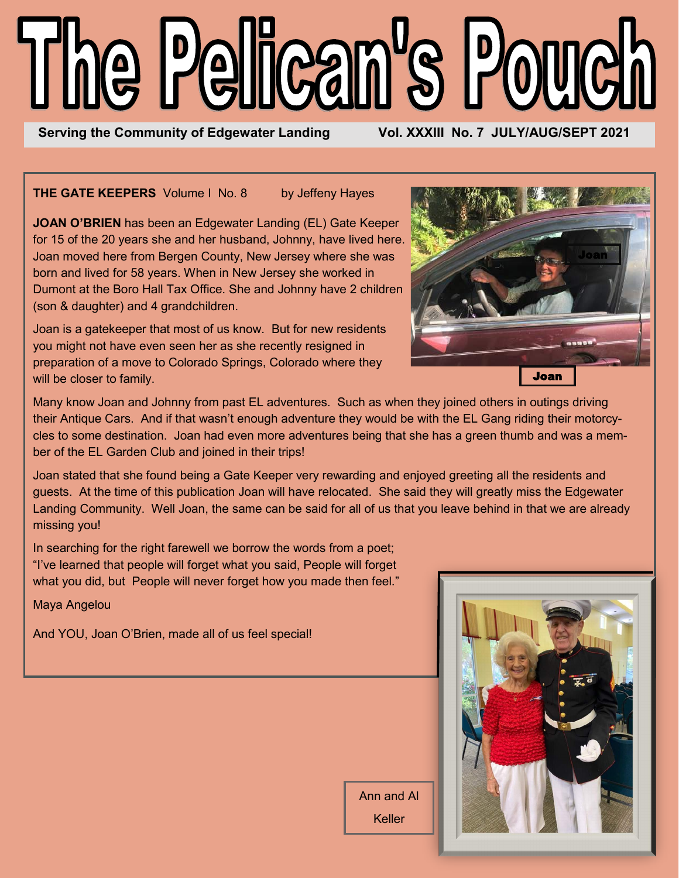# The Pelican's Pouch

Serving the Community of Edgewater Landing **Vol. XXXIII No. 7 JULY/AUG/SEPT 2021** 

**THE GATE KEEPERS** Volume I No. 8 by Jeffeny Hayes

**JOAN O'BRIEN** has been an Edgewater Landing (EL) Gate Keeper for 15 of the 20 years she and her husband, Johnny, have lived here. Joan moved here from Bergen County, New Jersey where she was born and lived for 58 years. When in New Jersey she worked in Dumont at the Boro Hall Tax Office. She and Johnny have 2 children (son & daughter) and 4 grandchildren.

Joan is a gatekeeper that most of us know. But for new residents you might not have even seen her as she recently resigned in preparation of a move to Colorado Springs, Colorado where they will be closer to family.



Many know Joan and Johnny from past EL adventures. Such as when they joined others in outings driving their Antique Cars. And if that wasn't enough adventure they would be with the EL Gang riding their motorcycles to some destination. Joan had even more adventures being that she has a green thumb and was a member of the EL Garden Club and joined in their trips!

Joan stated that she found being a Gate Keeper very rewarding and enjoyed greeting all the residents and guests. At the time of this publication Joan will have relocated. She said they will greatly miss the Edgewater Landing Community. Well Joan, the same can be said for all of us that you leave behind in that we are already missing you!

In searching for the right farewell we borrow the words from a poet; "I've learned that people will forget what you said, People will forget what you did, but People will never forget how you made then feel."

Maya Angelou

And YOU, Joan O'Brien, made all of us feel special!



Ann and Al Keller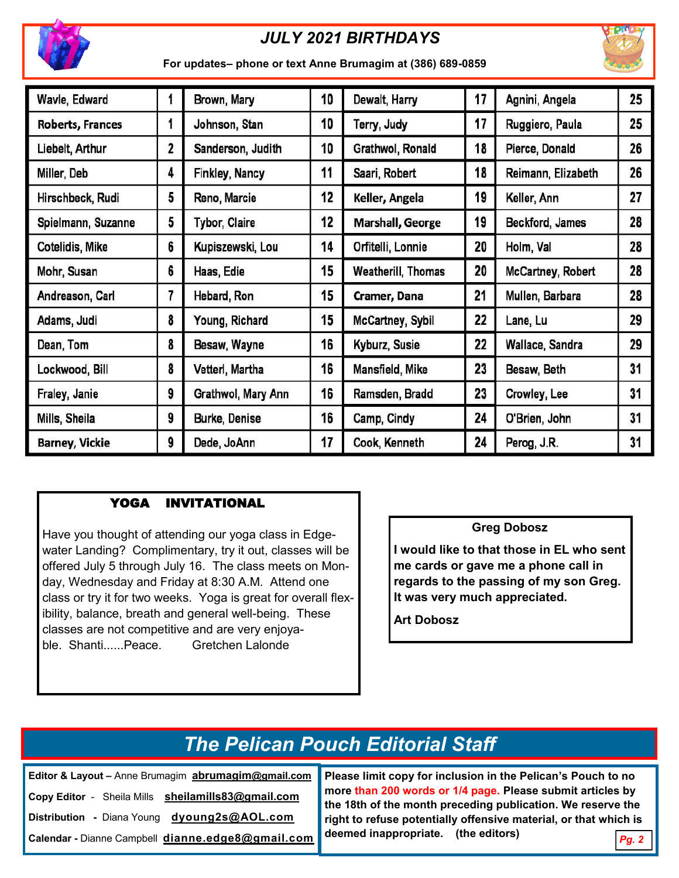

## *JULY 2021 BIRTHDAYS*



**For updates– phone or text Anne Brumagim at (386) 689-0859** 

| Wavle, Edward           |   | Brown, Mary           | 10                     | Dewalt, Harry             | 17 | Agnini, Angela     | 25 |
|-------------------------|---|-----------------------|------------------------|---------------------------|----|--------------------|----|
| <b>Roberts, Frances</b> | 1 | Johnson, Stan         | 10                     | Terry, Judy               | 17 | Ruggiero, Paula    | 25 |
| Liebelt, Arthur         | 2 | Sanderson, Judith     | 10<br>Grathwol, Ronald |                           | 18 | Pierce, Donald     | 26 |
| Miller, Deb             | 4 | <b>Finkley, Nancy</b> | 11                     | Saari, Robert             | 18 | Reimann, Elizabeth | 26 |
| Hirschbeck, Rudi        | 5 | Reno, Marcie          | 12                     | Keller, Angela            | 19 | Keller, Ann        | 27 |
| Spielmann, Suzanne      | 5 | <b>Tybor, Claire</b>  | 12                     | <b>Marshall, George</b>   | 19 | Beckford, James    | 28 |
| Cotelidis, Mike         | 6 | Kupiszewski, Lou      | 14                     | Orfitelli, Lonnie         | 20 | Holm, Val          | 28 |
| Mohr, Susan             | 6 | Haas, Edie            | 15                     | <b>Weatherill, Thomas</b> | 20 | McCartney, Robert  | 28 |
| Andreason, Carl         | 7 | Hebard, Ron           | 15                     | Cramer, Dana              | 21 | Mullen, Barbara    | 28 |
| Adams, Judi             | 8 | Young, Richard        | 15                     | <b>McCartney, Sybil</b>   | 22 | Lane, Lu           | 29 |
| Dean, Tom               | 8 | Besaw, Wayne          | 16                     | Kyburz, Susie             | 22 | Wallace, Sandra    | 29 |
| Lockwood, Bill          | 8 | Vetterl, Martha       | 16                     | Mansfield, Mike           | 23 | Besaw, Beth        | 31 |
| Fraley, Janie           | 9 | Grathwol, Mary Ann    | 16                     | Ramsden, Bradd            | 23 | Crowley, Lee       | 31 |
| Mills, Sheila           | 9 | Burke, Denise         | 16                     | Camp, Cindy               | 24 | O'Brien, John      | 31 |
| <b>Barney, Vickie</b>   | 9 | Dede, JoAnn           | 17                     | Cook, Kenneth             | 24 | Perog, J.R.        | 31 |

### YOGA INVITATIONAL

Have you thought of attending our yoga class in Edgewater Landing? Complimentary, try it out, classes will be offered July 5 through July 16. The class meets on Monday, Wednesday and Friday at 8:30 A.M. Attend one class or try it for two weeks. Yoga is great for overall flexibility, balance, breath and general well-being. These classes are not competitive and are very enjoyable. Shanti......Peace. Gretchen Lalonde

### **Greg Dobosz**

**I would like to that those in EL who sent me cards or gave me a phone call in regards to the passing of my son Greg. It was very much appreciated.**

**Art Dobosz**

# *The Pelican Pouch Editorial Staff*

**Editor & Layout –** Anne Brumagim **abrumagim@gmail.com Copy Editor** - Sheila Mills **sheilamills83@gmail.com Distribution -** Diana Young **[dyoung2s@AOL.com](mailto:dyoung1s96@gmail.com)**

**Calendar -** Dianne Campbell **dianne.edge8@gmail.com**

**Please limit copy for inclusion in the Pelican's Pouch to no more than 200 words or 1/4 page. Please submit articles by the 18th of the month preceding publication. We reserve the right to refuse potentially offensive material, or that which is deemed inappropriate. (the editors)**

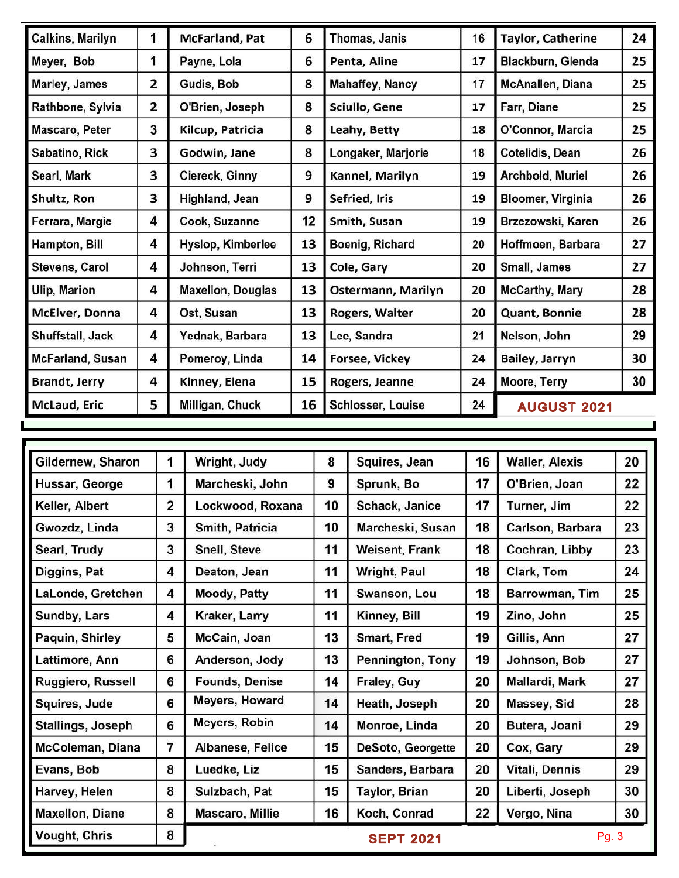| <b>Calkins, Marilyn</b> | 1 | McFarland, Pat           | 6  | Thomas, Janis          | 16 | <b>Taylor, Catherine</b> | 24 |
|-------------------------|---|--------------------------|----|------------------------|----|--------------------------|----|
| Meyer, Bob              | 1 | Payne, Lola              | 6  | Penta, Aline           | 17 | Blackburn, Glenda        | 25 |
| Marley, James           | 2 | Gudis, Bob               | 8  | <b>Mahaffey, Nancy</b> | 17 | McAnallen, Diana         | 25 |
| Rathbone, Sylvia        | 2 | O'Brien, Joseph          | 8  | Sciullo, Gene          | 17 | Farr, Diane              | 25 |
| Mascaro, Peter          | 3 | Kilcup, Patricia         | 8  | Leahy, Betty           | 18 | O'Connor, Marcia         | 25 |
| Sabatino, Rick          | 3 | Godwin, Jane             | 8  | Longaker, Marjorie     | 18 | Cotelidis, Dean          | 26 |
| Searl, Mark             | 3 | Ciereck, Ginny           | 9  | Kannel, Marilyn        | 19 | Archbold, Muriel         | 26 |
| Shultz, Ron             | 3 | Highland, Jean           | 9  | Sefried, Iris          | 19 | <b>Bloomer, Virginia</b> | 26 |
| Ferrara, Margie         | 4 | Cook, Suzanne            | 12 | Smith, Susan           | 19 | Brzezowski, Karen        | 26 |
| Hampton, Bill           | 4 | Hyslop, Kimberlee        | 13 | Boenig, Richard        | 20 | Hoffmoen, Barbara        | 27 |
| Stevens, Carol          | 4 | Johnson, Terri           | 13 | Cole, Gary             | 20 | Small, James             | 27 |
| <b>Ulip, Marion</b>     | 4 | <b>Maxellon, Douglas</b> | 13 | Ostermann, Marilyn     | 20 | <b>McCarthy, Mary</b>    | 28 |
| McElver, Donna          | 4 | Ost, Susan               | 13 | Rogers, Walter         | 20 | Quant, Bonnie            | 28 |
| Shuffstall, Jack        | 4 | Yednak, Barbara          | 13 | Lee, Sandra            | 21 | Nelson, John             | 29 |
| <b>McFarland, Susan</b> | 4 | Pomeroy, Linda           | 14 | Forsee, Vickey         | 24 | Bailey, Jarryn           | 30 |
| <b>Brandt, Jerry</b>    | 4 | Kinney, Elena            | 15 | Rogers, Jeanne         | 24 | Moore, Terry             | 30 |
| McLaud, Eric            | 5 | Milligan, Chuck          | 16 | Schlosser, Louise      | 24 | <b>AUGUST 2021</b>       |    |

| Gildernew, Sharon        | 1              | Wright, Judy          | 8               | Squires, Jean     | 16 | <b>Waller, Alexis</b> | 20 |
|--------------------------|----------------|-----------------------|-----------------|-------------------|----|-----------------------|----|
| Hussar, George           | 1              | Marcheski, John       | 9<br>Sprunk, Bo |                   | 17 | O'Brien, Joan         | 22 |
| Keller, Albert           | $\overline{2}$ | Lockwood, Roxana      | 10              | Schack, Janice    | 17 | Turner, Jim           | 22 |
| Gwozdz, Linda            | 3              | Smith, Patricia       | 10              | Marcheski, Susan  | 18 | Carlson, Barbara      | 23 |
| Searl, Trudy             | 3              | Snell, Steve          | 11              | Weisent, Frank    | 18 | Cochran, Libby        | 23 |
| Diggins, Pat             | 4              | Deaton, Jean          | 11              | Wright, Paul      | 18 | Clark, Tom            | 24 |
| LaLonde, Gretchen        | 4              | <b>Moody, Patty</b>   | 11              | Swanson, Lou      | 18 | Barrowman, Tim        | 25 |
| Sundby, Lars             | 4              | Kraker, Larry         | 11              | Kinney, Bill      | 19 | Zino, John            | 25 |
| Paquin, Shirley          | 5              | McCain, Joan          | 13              | Smart, Fred       | 19 | Gillis, Ann           | 27 |
| Lattimore, Ann           | 6              | Anderson, Jody        | 13              | Pennington, Tony  | 19 | Johnson, Bob          | 27 |
| Ruggiero, Russell        | 6              | <b>Founds, Denise</b> | 14              | Fraley, Guy       | 20 | Mallardi, Mark        | 27 |
| Squires, Jude            | 6              | <b>Meyers, Howard</b> | 14              | Heath, Joseph     | 20 | Massey, Sid           | 28 |
| <b>Stallings, Joseph</b> | 6              | Meyers, Robin         | 14              | Monroe, Linda     | 20 | Butera, Joani         | 29 |
| McColeman, Diana         | 7              | Albanese, Felice      | 15              | DeSoto, Georgette | 20 | Cox, Gary             | 29 |
| Evans, Bob               | 8              | Luedke, Liz           | 15              | Sanders, Barbara  | 20 | Vitali, Dennis        | 29 |
| Harvey, Helen            | 8              | Sulzbach, Pat         | 15              | Taylor, Brian     | 20 | Liberti, Joseph       | 30 |
| <b>Maxellon, Diane</b>   | 8              | Mascaro, Millie       | 16              | Koch, Conrad      | 22 | Vergo, Nina           | 30 |
| <b>Vought, Chris</b>     | 8              |                       |                 | <b>SEPT 2021</b>  |    | Pg. 3                 |    |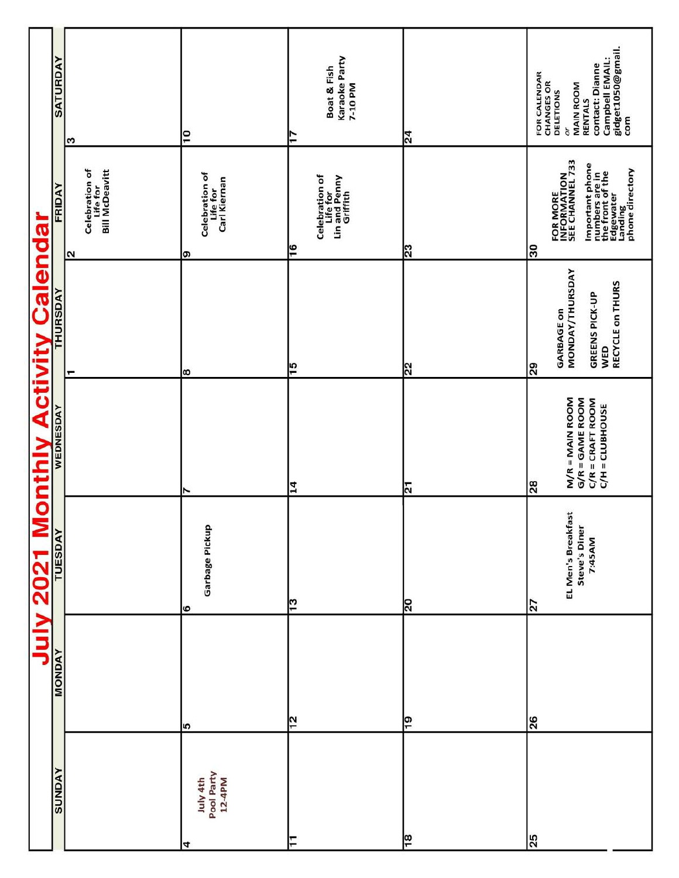|                                            | <b>SATURDAY</b> |                                                                        | Ρ                                               | Karaoke Party<br>Boat & Fish<br>7-10 PM<br>77                 | $\overline{24}$ | gidget1050@gmail.<br>Campbell EMAIL:<br>contact: Dianne<br>FOR CALENDAR<br>CHANGES OR<br><b>MAIN ROOM</b><br>DELETIONS<br>RENTALS<br>com<br>òr |
|--------------------------------------------|-----------------|------------------------------------------------------------------------|-------------------------------------------------|---------------------------------------------------------------|-----------------|------------------------------------------------------------------------------------------------------------------------------------------------|
|                                            | FRIDAY          | က<br>Celebration of<br>Life for<br>Bill McDeavitt<br>$\mathbf{\Omega}$ | Celebration of<br>Life for<br>Carl Kiernan<br>စ | Celebration of<br>Life for<br>Lin and Penny<br>Griffith<br>٩Ŧ | $\overline{23}$ | FOR MORE<br>INFORMATION<br>SEE CHANNEL 733<br>Important phone<br>numbers are in<br>the front of the<br>the fading<br>Landing<br>30             |
| <b>July 2021 Monthly Activity Calendar</b> |                 |                                                                        | ∣∞                                              | ٣                                                             | ଅ               | <b>MONDAY/THURSDAY</b><br>RECYCLE on THURS<br><b>GREENS PICK-UP</b><br><b>GARBAGE on</b><br>WED<br>29                                          |
|                                            |                 |                                                                        | r                                               | $\overline{14}$                                               | ন               | $M/R = MAIN$ ROOM<br>G/R = GAME ROOM<br>$C/R = CRAFT ROOM$<br>C/H = CLUBHOUSE<br>28                                                            |
|                                            |                 |                                                                        | Garbage Pickup<br> ဖ                            | ငှ                                                            | $\overline{5}$  | EL Men's Breakfast<br>Steve's Diner<br>7:45AM<br>$\overline{z}$                                                                                |
|                                            | <b>MONDAY</b>   |                                                                        | l۱೧                                             | 은                                                             | ဇ္ဇ             | $\frac{8}{26}$                                                                                                                                 |
|                                            | <b>AVONDS</b>   |                                                                        | Pool Party<br>12-4PM<br>July 4th<br>4           | 두                                                             | ∣∞              | 25                                                                                                                                             |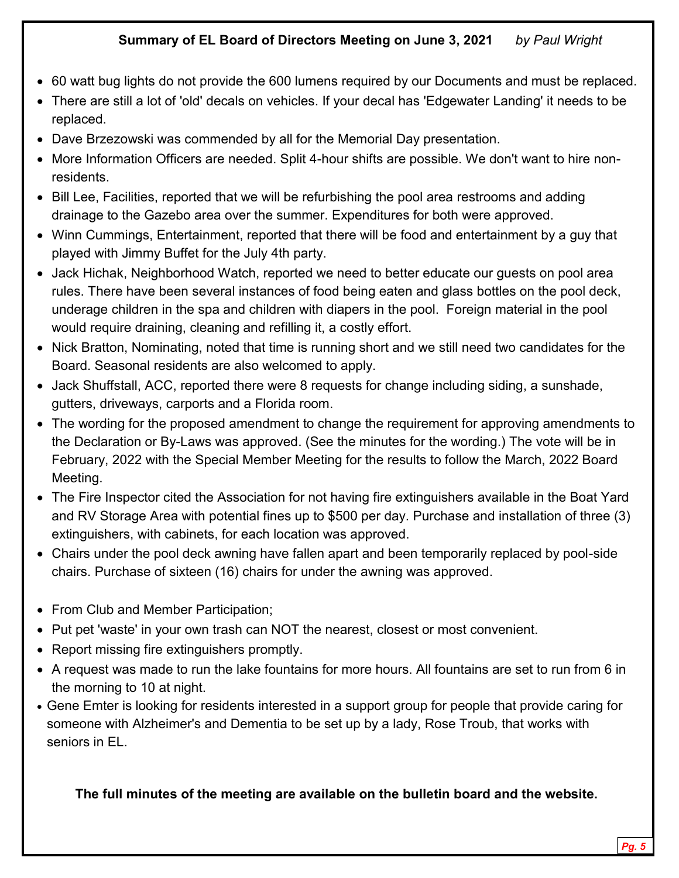### **Summary of EL Board of Directors Meeting on June 3, 2021** *by Paul Wright*

- 60 watt bug lights do not provide the 600 lumens required by our Documents and must be replaced.
- There are still a lot of 'old' decals on vehicles. If your decal has 'Edgewater Landing' it needs to be replaced.
- Dave Brzezowski was commended by all for the Memorial Day presentation.
- More Information Officers are needed. Split 4-hour shifts are possible. We don't want to hire nonresidents.
- Bill Lee, Facilities, reported that we will be refurbishing the pool area restrooms and adding drainage to the Gazebo area over the summer. Expenditures for both were approved.
- Winn Cummings, Entertainment, reported that there will be food and entertainment by a guy that played with Jimmy Buffet for the July 4th party.
- Jack Hichak, Neighborhood Watch, reported we need to better educate our guests on pool area rules. There have been several instances of food being eaten and glass bottles on the pool deck, underage children in the spa and children with diapers in the pool. Foreign material in the pool would require draining, cleaning and refilling it, a costly effort.
- Nick Bratton, Nominating, noted that time is running short and we still need two candidates for the Board. Seasonal residents are also welcomed to apply.
- Jack Shuffstall, ACC, reported there were 8 requests for change including siding, a sunshade, gutters, driveways, carports and a Florida room.
- The wording for the proposed amendment to change the requirement for approving amendments to the Declaration or By-Laws was approved. (See the minutes for the wording.) The vote will be in February, 2022 with the Special Member Meeting for the results to follow the March, 2022 Board Meeting.
- The Fire Inspector cited the Association for not having fire extinguishers available in the Boat Yard and RV Storage Area with potential fines up to \$500 per day. Purchase and installation of three (3) extinguishers, with cabinets, for each location was approved.
- Chairs under the pool deck awning have fallen apart and been temporarily replaced by pool-side chairs. Purchase of sixteen (16) chairs for under the awning was approved.
- From Club and Member Participation;

- Put pet 'waste' in your own trash can NOT the nearest, closest or most convenient.
- Report missing fire extinguishers promptly.
- A request was made to run the lake fountains for more hours. All fountains are set to run from 6 in the morning to 10 at night.
- Gene Emter is looking for residents interested in a support group for people that provide caring for someone with Alzheimer's and Dementia to be set up by a lady, Rose Troub, that works with seniors in EL.

**The full minutes of the meeting are available on the bulletin board and the website.**